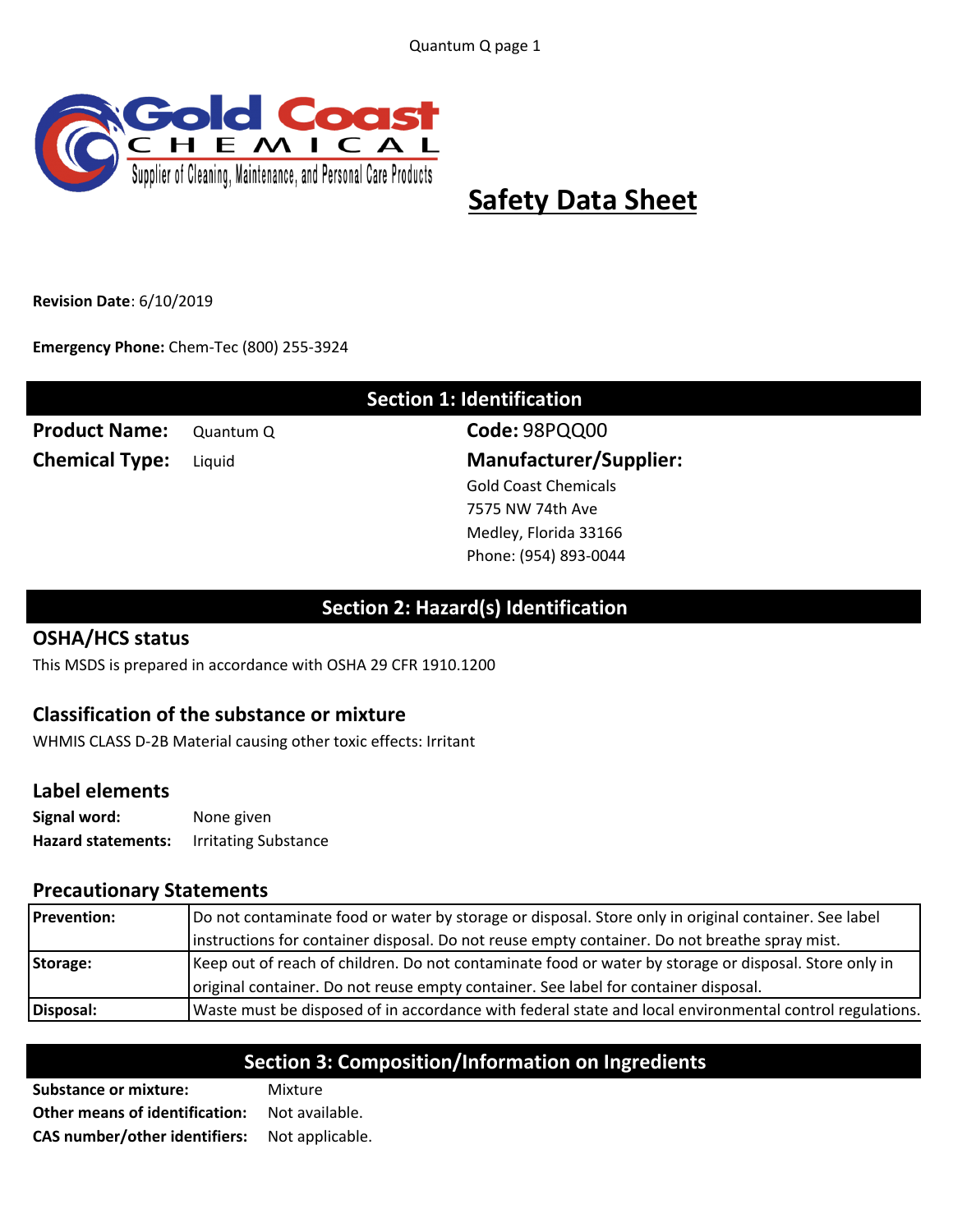Quantum Q page 1



# **Safety Data Sheet**

**Revision Date**: 6/10/2019

**Emergency Phone:** Chem-Tec (800) 255-3924

| <b>Section 1: Identification</b> |           |                               |
|----------------------------------|-----------|-------------------------------|
| <b>Product Name:</b>             | Quantum Q | Code: 98PQQ00                 |
| <b>Chemical Type:</b>            | Liquid    | <b>Manufacturer/Supplier:</b> |
|                                  |           | <b>Gold Coast Chemicals</b>   |
|                                  |           | 7575 NW 74th Ave              |
|                                  |           | Medley, Florida 33166         |
|                                  |           | Phone: (954) 893-0044         |

# **Section 2: Hazard(s) Identification**

#### **OSHA/HCS status**

This MSDS is prepared in accordance with OSHA 29 CFR 1910.1200

### **Classification of the substance or mixture**

WHMIS CLASS D-2B Material causing other toxic effects: Irritant

#### **Label elements**

| Signal word:              | None given                  |
|---------------------------|-----------------------------|
| <b>Hazard statements:</b> | <b>Irritating Substance</b> |

#### **Precautionary Statements**

| Disposal:          | Waste must be disposed of in accordance with federal state and local environmental control regulations. |
|--------------------|---------------------------------------------------------------------------------------------------------|
|                    | original container. Do not reuse empty container. See label for container disposal.                     |
| Storage:           | Keep out of reach of children. Do not contaminate food or water by storage or disposal. Store only in   |
|                    | instructions for container disposal. Do not reuse empty container. Do not breathe spray mist.           |
| <b>Prevention:</b> | Do not contaminate food or water by storage or disposal. Store only in original container. See label    |

# **Section 3: Composition/Information on Ingredients**

**Substance or mixture:** Mixture **Other means of identification:** Not available. **CAS** number/other identifiers: Not applicable.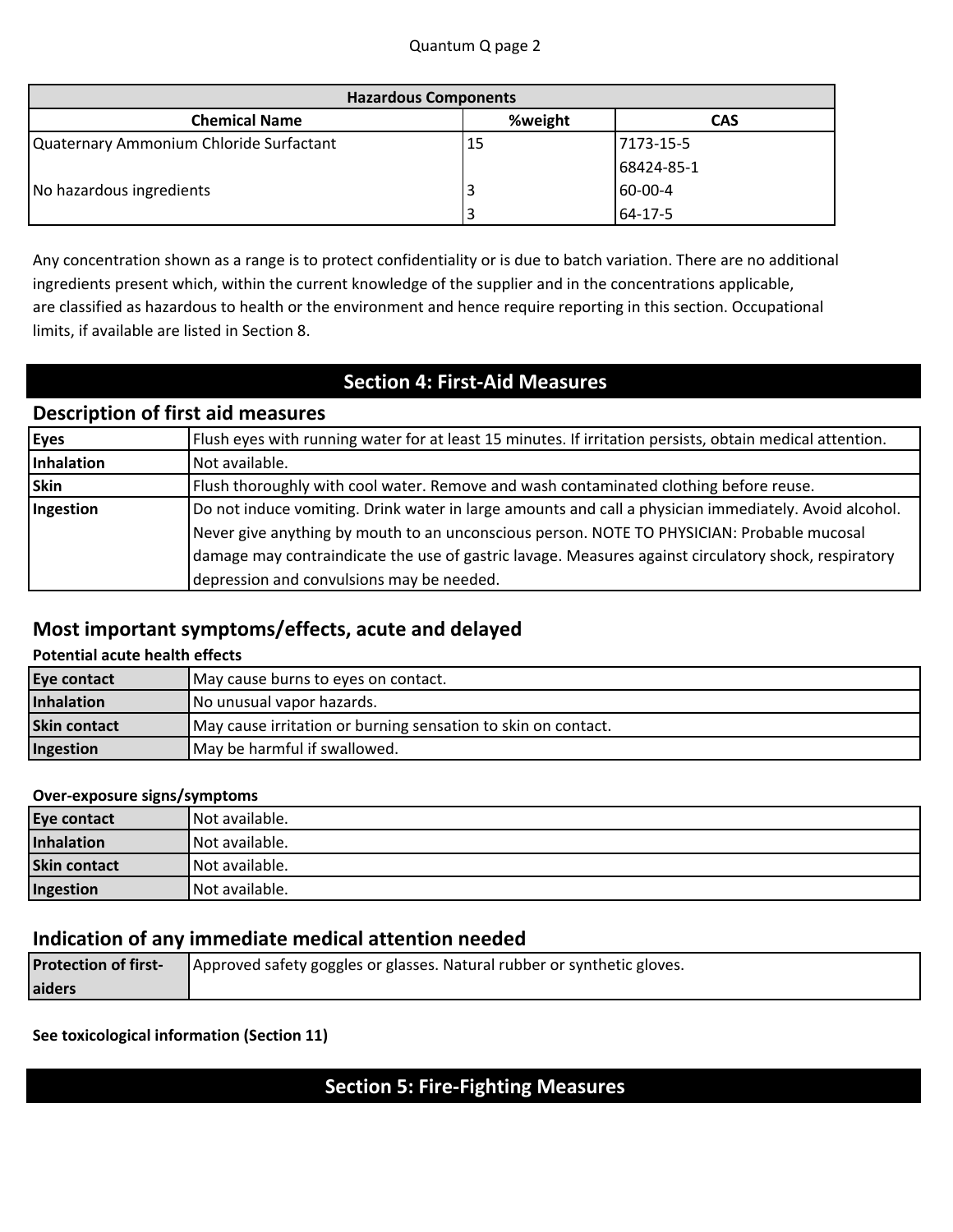| <b>Hazardous Components</b>             |         |            |
|-----------------------------------------|---------|------------|
| <b>Chemical Name</b>                    | %weight | <b>CAS</b> |
| Quaternary Ammonium Chloride Surfactant | 15      | 7173-15-5  |
|                                         |         | 68424-85-1 |
| No hazardous ingredients                |         | 60-00-4    |
|                                         |         | 64-17-5    |

Any concentration shown as a range is to protect confidentiality or is due to batch variation. There are no additional ingredients present which, within the current knowledge of the supplier and in the concentrations applicable, are classified as hazardous to health or the environment and hence require reporting in this section. Occupational limits, if available are listed in Section 8.

# **Section 4: First-Aid Measures**

## **Description of first aid measures**

| <b>Eyes</b> | Flush eyes with running water for at least 15 minutes. If irritation persists, obtain medical attention. |
|-------------|----------------------------------------------------------------------------------------------------------|
| Inhalation  | Not available.                                                                                           |
| <b>Skin</b> | Flush thoroughly with cool water. Remove and wash contaminated clothing before reuse.                    |
| Ingestion   | Do not induce vomiting. Drink water in large amounts and call a physician immediately. Avoid alcohol.    |
|             | Never give anything by mouth to an unconscious person. NOTE TO PHYSICIAN: Probable mucosal               |
|             | damage may contraindicate the use of gastric lavage. Measures against circulatory shock, respiratory     |
|             | depression and convulsions may be needed.                                                                |

### **Most important symptoms/effects, acute and delayed**

#### **Potential acute health effects**

| <b>Eye contact</b>  | May cause burns to eyes on contact.                           |  |
|---------------------|---------------------------------------------------------------|--|
| Inhalation          | No unusual vapor hazards.                                     |  |
| <b>Skin contact</b> | May cause irritation or burning sensation to skin on contact. |  |
| Ingestion           | May be harmful if swallowed.                                  |  |

#### **Over-exposure signs/symptoms**

| <b>Eye contact</b>  | Not available. |
|---------------------|----------------|
| Inhalation          | Not available. |
| <b>Skin contact</b> | Not available. |
| Ingestion           | Not available. |

#### **Indication of any immediate medical attention needed**

| <b>Protection of first-</b> | Approved safety goggles or glasses. Natural rubber or synthetic gloves. |
|-----------------------------|-------------------------------------------------------------------------|
| laiders                     |                                                                         |

**See toxicological information (Section 11)** 

# **Section 5: Fire-Fighting Measures**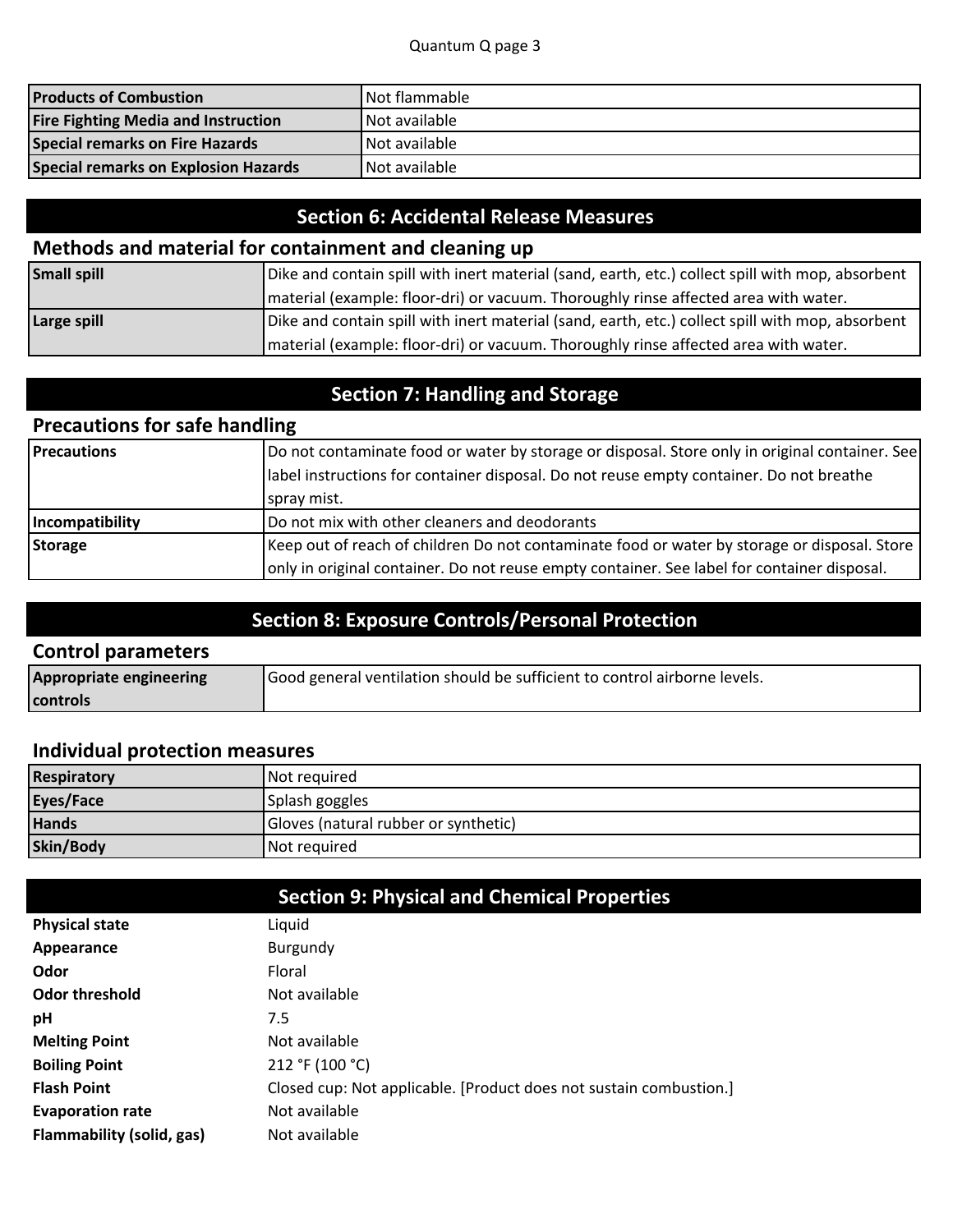| <b>Products of Combustion</b>              | <b>INot flammable</b> |
|--------------------------------------------|-----------------------|
| <b>Fire Fighting Media and Instruction</b> | <b>INot available</b> |
| Special remarks on Fire Hazards            | <b>INot available</b> |
| Special remarks on Explosion Hazards       | <b>INot available</b> |

# **Section 6: Accidental Release Measures**

# **Methods and material for containment and cleaning up**

| <b>Small spill</b> | Dike and contain spill with inert material (sand, earth, etc.) collect spill with mop, absorbent |  |
|--------------------|--------------------------------------------------------------------------------------------------|--|
|                    | material (example: floor-dri) or vacuum. Thoroughly rinse affected area with water.              |  |
| Large spill        | Dike and contain spill with inert material (sand, earth, etc.) collect spill with mop, absorbent |  |
|                    | material (example: floor-dri) or vacuum. Thoroughly rinse affected area with water.              |  |

# **Section 7: Handling and Storage**

# **Precautions for safe handling**

| <b>Precautions</b> | Do not contaminate food or water by storage or disposal. Store only in original container. See |  |
|--------------------|------------------------------------------------------------------------------------------------|--|
|                    | Iabel instructions for container disposal. Do not reuse empty container. Do not breathe        |  |
|                    | spray mist.                                                                                    |  |
| Incompatibility    | Do not mix with other cleaners and deodorants                                                  |  |
| <b>Storage</b>     | Keep out of reach of children Do not contaminate food or water by storage or disposal. Store   |  |
|                    | only in original container. Do not reuse empty container. See label for container disposal.    |  |

# **Section 8: Exposure Controls/Personal Protection**

#### **Control parameters**

| <b>Appropriate engineering</b> | Good general ventilation should be sufficient to control airborne levels. |  |
|--------------------------------|---------------------------------------------------------------------------|--|
| <b>I</b> controls              |                                                                           |  |

### **Individual protection measures**

| <b>Respiratory</b> | Not required                         |
|--------------------|--------------------------------------|
| Eyes/Face          | Splash goggles                       |
| <b>Hands</b>       | Gloves (natural rubber or synthetic) |
| Skin/Body          | Not required                         |

|                           | <b>Section 9: Physical and Chemical Properties</b>                 |
|---------------------------|--------------------------------------------------------------------|
| <b>Physical state</b>     | Liquid                                                             |
| Appearance                | Burgundy                                                           |
| Odor                      | Floral                                                             |
| Odor threshold            | Not available                                                      |
| рH                        | 7.5                                                                |
| <b>Melting Point</b>      | Not available                                                      |
| <b>Boiling Point</b>      | 212 °F (100 °C)                                                    |
| <b>Flash Point</b>        | Closed cup: Not applicable. [Product does not sustain combustion.] |
| <b>Evaporation rate</b>   | Not available                                                      |
| Flammability (solid, gas) | Not available                                                      |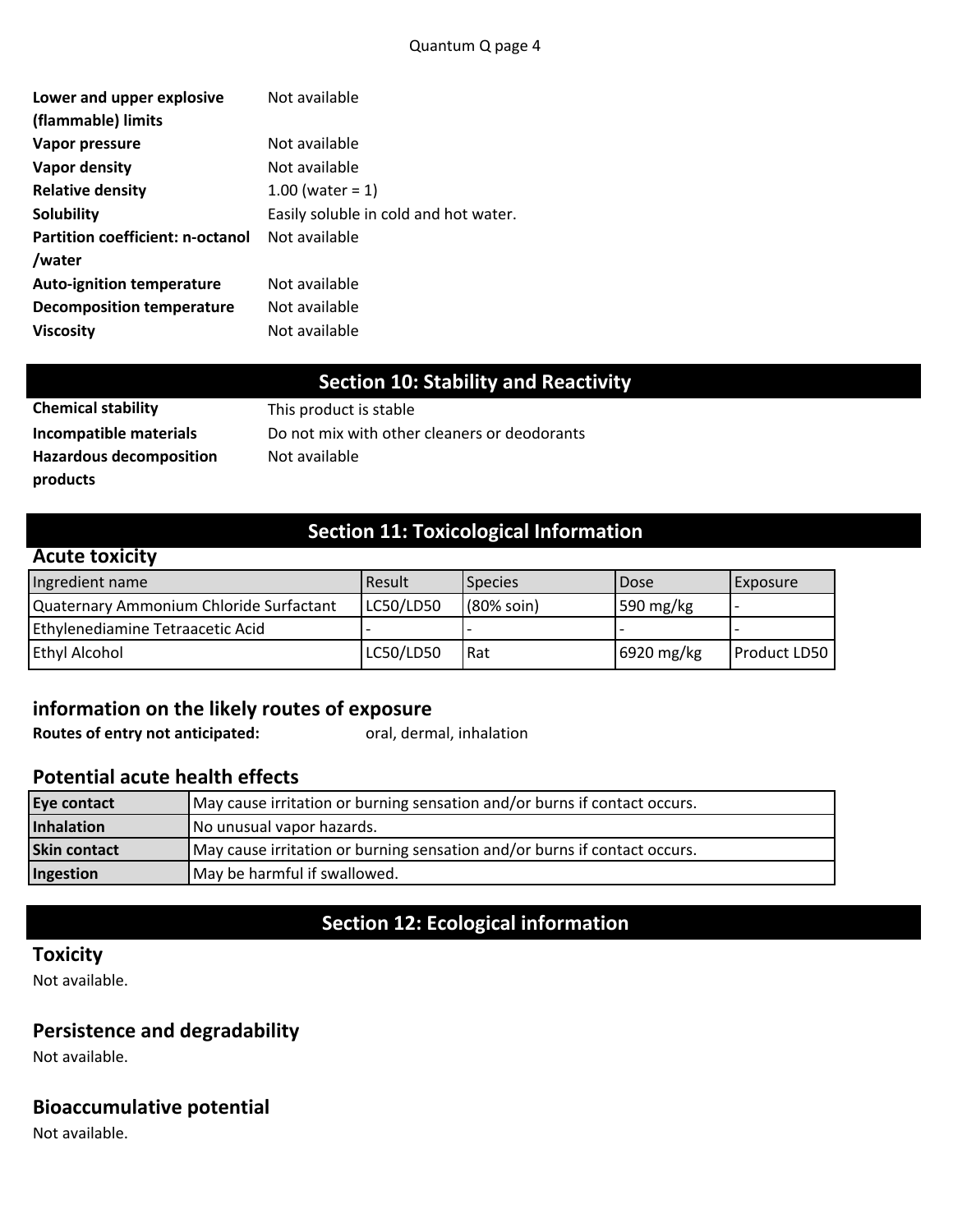| Lower and upper explosive<br>(flammable) limits | Not available                         |
|-------------------------------------------------|---------------------------------------|
| Vapor pressure                                  | Not available                         |
| <b>Vapor density</b>                            | Not available                         |
| <b>Relative density</b>                         | 1.00 (water = $1$ )                   |
| Solubility                                      | Easily soluble in cold and hot water. |
| <b>Partition coefficient: n-octanol</b>         | Not available                         |
| /water                                          |                                       |
| <b>Auto-ignition temperature</b>                | Not available                         |
| <b>Decomposition temperature</b>                | Not available                         |
| <b>Viscosity</b>                                | Not available                         |

# **Section 10: Stability and Reactivity**

| Chemical Stability             |  |
|--------------------------------|--|
| Incompatible materials         |  |
| <b>Hazardous decomposition</b> |  |
| products                       |  |

**Chemical stability** This product is stable Do not mix with other cleaners or deodorants **Not** available

# **Section 11: Toxicological Information**

#### **Acute toxicity**

| Ingredient name                         | <b>I</b> Result | <b>Species</b> | <b>Dose</b> | <b>Exposure</b>     |
|-----------------------------------------|-----------------|----------------|-------------|---------------------|
| Quaternary Ammonium Chloride Surfactant | LC50/LD50       | (80% soin)     | 590 mg/kg   | . .                 |
| Ethylenediamine Tetraacetic Acid        |                 |                |             |                     |
| <b>Ethyl Alcohol</b>                    | LC50/LD50       | Rat            | 6920 mg/kg  | <b>Product LD50</b> |

# **information on the likely routes of exposure**

**Routes of entry not anticipated:** oral, dermal, inhalation

#### **Potential acute health effects**

| <b>Eye contact</b>  | May cause irritation or burning sensation and/or burns if contact occurs. |  |  |
|---------------------|---------------------------------------------------------------------------|--|--|
| Inhalation          | No unusual vapor hazards.                                                 |  |  |
| <b>Skin contact</b> | May cause irritation or burning sensation and/or burns if contact occurs. |  |  |
| Ingestion           | May be harmful if swallowed.                                              |  |  |

# **Section 12: Ecological information**

### **Toxicity**

Not available.

# **Persistence and degradability**

Not available.

### **Bioaccumulative potential**

Not available.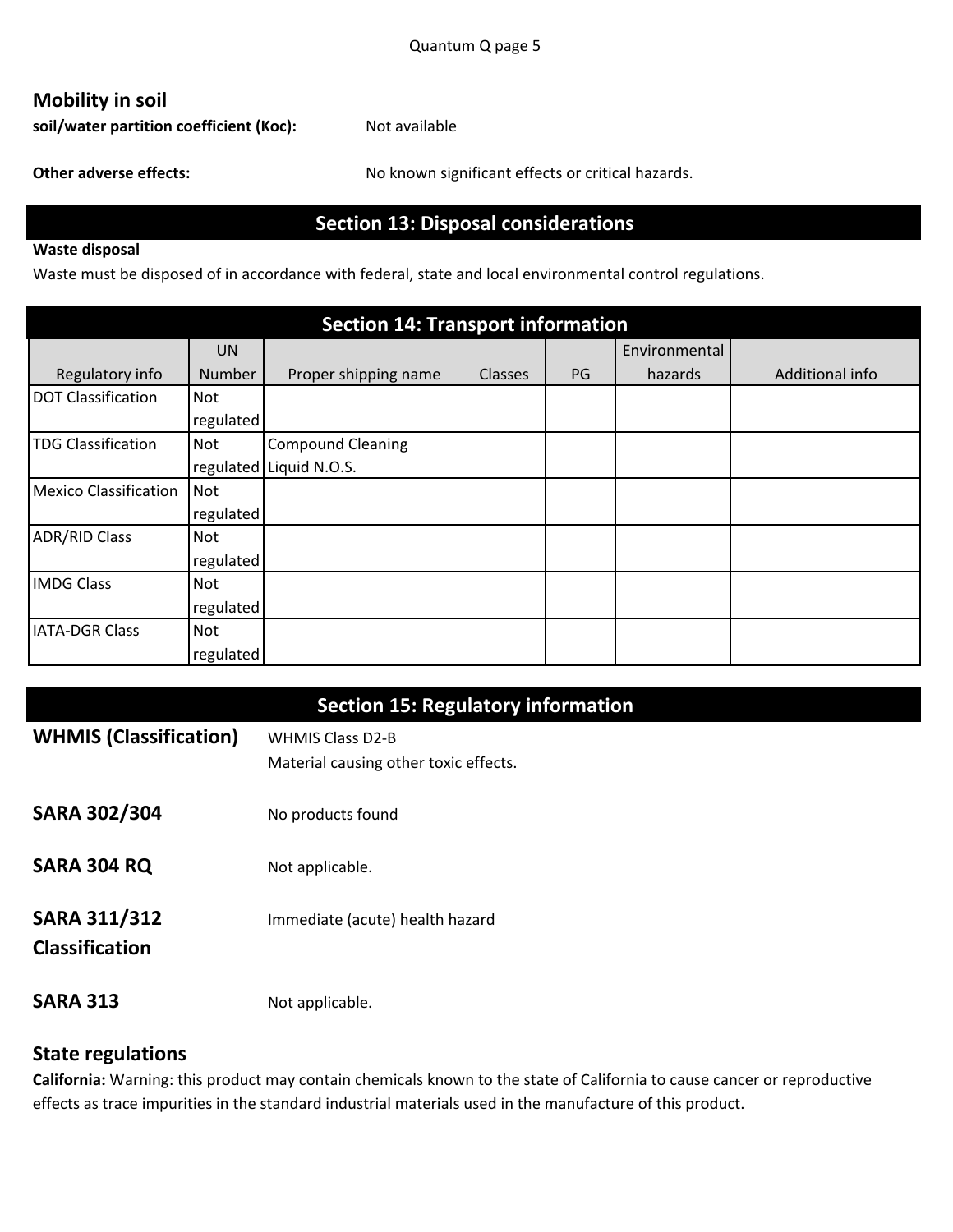# **Mobility in soil**

soil/water partition coefficient (Koc): Not available

Other adverse effects: No known significant effects or critical hazards.

# **Section 13: Disposal considerations**

#### **Waste disposal**

Waste must be disposed of in accordance with federal, state and local environmental control regulations.

| <b>Section 14: Transport information</b> |               |                          |         |           |               |                 |
|------------------------------------------|---------------|--------------------------|---------|-----------|---------------|-----------------|
|                                          | <b>UN</b>     |                          |         |           | Environmental |                 |
| Regulatory info                          | <b>Number</b> | Proper shipping name     | Classes | <b>PG</b> | hazards       | Additional info |
| <b>DOT Classification</b>                | <b>Not</b>    |                          |         |           |               |                 |
|                                          | regulated     |                          |         |           |               |                 |
| <b>TDG Classification</b>                | <b>Not</b>    | <b>Compound Cleaning</b> |         |           |               |                 |
|                                          |               | regulated Liquid N.O.S.  |         |           |               |                 |
| <b>Mexico Classification</b>             | <b>Not</b>    |                          |         |           |               |                 |
|                                          | regulated     |                          |         |           |               |                 |
| <b>ADR/RID Class</b>                     | Not           |                          |         |           |               |                 |
|                                          | regulated     |                          |         |           |               |                 |
| <b>IMDG Class</b>                        | <b>Not</b>    |                          |         |           |               |                 |
|                                          | regulated     |                          |         |           |               |                 |
| <b>IATA-DGR Class</b>                    | <b>Not</b>    |                          |         |           |               |                 |
|                                          | regulated     |                          |         |           |               |                 |

|                               | <b>Section 15: Regulatory information</b> |
|-------------------------------|-------------------------------------------|
| <b>WHMIS (Classification)</b> | <b>WHMIS Class D2-B</b>                   |
|                               | Material causing other toxic effects.     |
| <b>SARA 302/304</b>           | No products found                         |
| SARA 304 RQ                   | Not applicable.                           |
| <b>SARA 311/312</b>           | Immediate (acute) health hazard           |
| <b>Classification</b>         |                                           |
| <b>SARA 313</b>               | Not applicable.                           |

### **State regulations**

California: Warning: this product may contain chemicals known to the state of California to cause cancer or reproductive effects as trace impurities in the standard industrial materials used in the manufacture of this product.